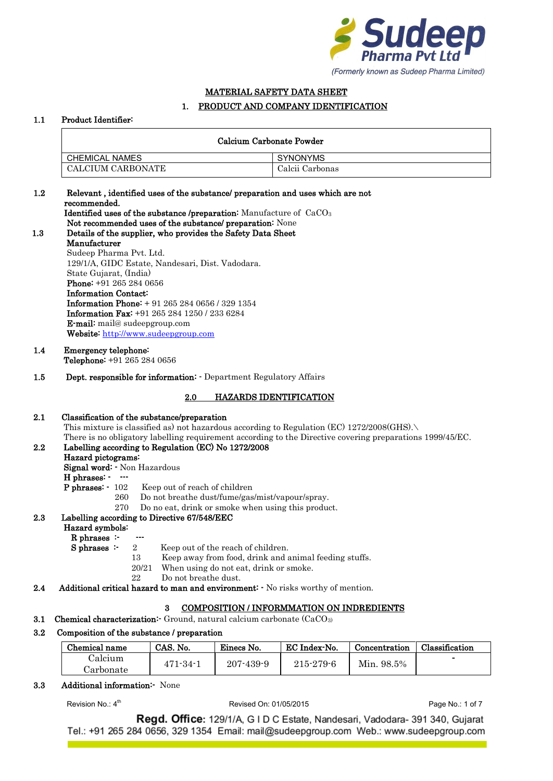

# MATERIAL SAFETY DATA SHEET

# 1. PRODUCT AND COMPANY IDENTIFICATION

### 1.1 Product Identifier:

| Calcium Carbonate Powder |                 |  |  |  |
|--------------------------|-----------------|--|--|--|
| <b>CHEMICAL NAMES</b>    | <b>SYNONYMS</b> |  |  |  |
| CALCIUM CARBONATE        | Calcii Carbonas |  |  |  |

#### 1.2 Relevant , identified uses of the substance/ preparation and uses which are not recommended. Identified uses of the substance /preparation: Manufacture of CaCO<sup>3</sup>

Not recommended uses of the substance/ preparation: None

### 1.3 Details of the supplier, who provides the Safety Data Sheet Manufacturer Sudeep Pharma Pvt. Ltd.

129/1/A, GIDC Estate, Nandesari, Dist. Vadodara. State Gujarat, (India) Phone: +91 265 284 0656 Information Contact: Information Phone: + 91 265 284 0656 / 329 1354 Information Fax: +91 265 284 1250 / 233 6284 E-mail: mail@ sudeepgroup.com Website: [http://www.sudeepgroup.com](http://www.sudeepgroup.com/)

- 1.4 Emergency telephone: Telephone: +91 265 284 0656
- 1.5 Dept. responsible for information: Department Regulatory Affairs

# 2.0 HAZARDS IDENTIFICATION

# 2.1 Classification of the substance/preparation

This mixture is classified as) not hazardous according to Regulation (EC)  $1272/2008 \text{(GHS)}$ . There is no obligatory labelling requirement according to the Directive covering preparations 1999/45/EC.

# 2.2 Labelling according to Regulation (EC) No 1272/2008

# Hazard pictograms:

Signal word: - Non Hazardous

- H phrases: ---
- P phrases:  $-102$  Keep out of reach of children
	- 260 Do not breathe dust/fume/gas/mist/vapour/spray.
	- 270 Do no eat, drink or smoke when using this product.

# 2.3 Labelling according to Directive 67/548/EEC

# Hazard symbols:

- $R$  phrases :-<br>S phrases :-
	- 2 Keep out of the reach of children.
		- 13 Keep away from food, drink and animal feeding stuffs.
		- 20/21 When using do not eat, drink or smoke.
		- 22 Do not breathe dust.
- 2.4 Additional critical hazard to man and environment:  $\sim$  No risks worthy of mention.

# 3 COMPOSITION / INFORMMATION ON INDREDIENTS

**3.1 Chemical characterization:** Ground, natural calcium carbonate  $(CaCO<sub>3</sub>)$ 

#### Composition of the substance / preparation  $3.2$

| Chemical name | CAS. No. | Einecs No.      | EC Index-No.    | Concentration | Classification |
|---------------|----------|-----------------|-----------------|---------------|----------------|
| Calcium       | 471-34-1 | $207 - 439 - 9$ | $215 - 279 - 6$ | Min. 98.5%    |                |
| Carbonate     |          |                 |                 |               |                |

# 3.3 Additional information:- None

Revision  $No: 4<sup>th</sup>$ 

Revised On: 01/05/2015 **Page No.: 1 of 7**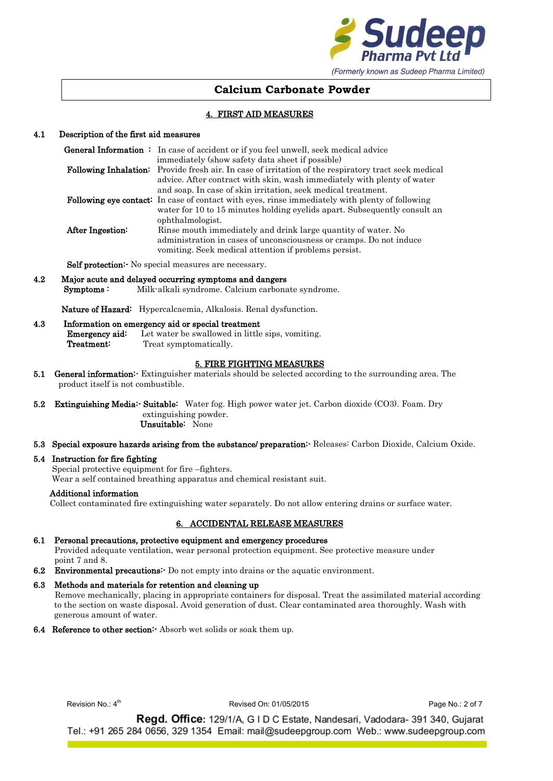

# 4. FIRST AID MEASURES

### 4.1 Description of the first aid measures

|                  | <b>General Information</b> : In case of accident or if you feel unwell, seek medical advice            |
|------------------|--------------------------------------------------------------------------------------------------------|
|                  | immediately (show safety data sheet if possible)                                                       |
|                  | Following Inhalation: Provide fresh air. In case of irritation of the respiratory tract seek medical   |
|                  | advice. After contract with skin, wash immediately with plenty of water                                |
|                  | and soap. In case of skin irritation, seek medical treatment.                                          |
|                  | <b>Following eye contact:</b> In case of contact with eyes, rinse immediately with plenty of following |
|                  | water for 10 to 15 minutes holding eyelids apart. Subsequently consult an                              |
|                  | ophthalmologist.                                                                                       |
| After Ingestion: | Rinse mouth immediately and drink large quantity of water. No                                          |
|                  | administration in cases of unconsciousness or cramps. Do not induce                                    |
|                  | vomiting. Seek medical attention if problems persist.                                                  |

Self protection: No special measures are necessary.

4.2 Major acute and delayed occurring symptoms and dangers Symptoms : Milk-alkali syndrome. Calcium carbonate syndrome.

Nature of Hazard: Hypercalcaemia, Alkalosis. Renal dysfunction.

### 4.3 Information on emergency aid or special treatment

**Emergency aid:** Let water be swallowed in little sips, vomiting. Treatment: Treat symptomatically.

#### 5. FIRE FIGHTING MEASURES

- 5.1 General information<sup>:</sup> Extinguisher materials should be selected according to the surrounding area. The product itself is not combustible.
- 5.2 Extinguishing Media:- Suitable: Water fog. High power water jet. Carbon dioxide (CO3). Foam. Dry extinguishing powder.

Unsuitable: None

5.3 Special exposure hazards arising from the substance/ preparation:- Releases: Carbon Dioxide, Calcium Oxide.

#### 5.4 Instruction for fire fighting

Special protective equipment for fire –fighters.

Wear a self contained breathing apparatus and chemical resistant suit.

#### Additional information

Collect contaminated fire extinguishing water separately. Do not allow entering drains or surface water.

### 6. ACCIDENTAL RELEASE MEASURES

6.1 Personal precautions, protective equipment and emergency procedures

 Provided adequate ventilation, wear personal protection equipment. See protective measure under point 7 and 8.

6.2 Environmental precautions:- Do not empty into drains or the aquatic environment.

#### 6.3 Methods and materials for retention and cleaning up

 Remove mechanically, placing in appropriate containers for disposal. Treat the assimilated material according to the section on waste disposal. Avoid generation of dust. Clear contaminated area thoroughly. Wash with generous amount of water.

6.4 Reference to other section:- Absorb wet solids or soak them up.

Revision  $No: 4<sup>th</sup>$ 

Revised On: 01/05/2015 **Page No.: 2 of 7**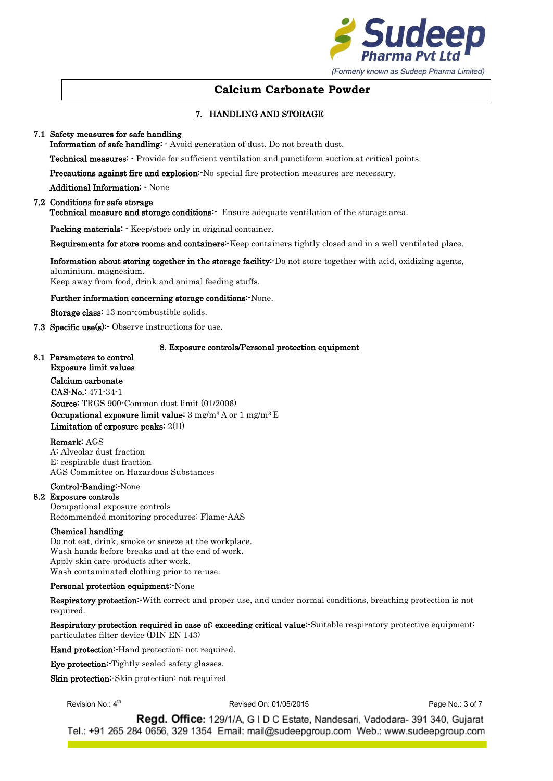

# 7. HANDLING AND STORAGE

### 7.1 Safety measures for safe handling

Information of safe handling: - Avoid generation of dust. Do not breath dust.

Technical measures: - Provide for sufficient ventilation and punctiform suction at critical points.

Precautions against fire and explosion: No special fire protection measures are necessary.

Additional Information: - None

#### 7.2 Conditions for safe storage

Technical measure and storage conditions: Ensure adequate ventilation of the storage area.

Packing materials: - Keep/store only in original container.

Requirements for store rooms and containers:-Keep containers tightly closed and in a well ventilated place.

Information about storing together in the storage facility:-Do not store together with acid, oxidizing agents, aluminium, magnesium.

Keep away from food, drink and animal feeding stuffs.

Further information concerning storage conditions:-None.

Storage class: 13 non-combustible solids.

7.3 Specific use(s): Observe instructions for use.

#### 8. Exposure controls/Personal protection equipment

#### 8.1 Parameters to control Exposure limit values

Calcium carbonate CAS-No.: 471-34-1 Source: TRGS 900-Common dust limit (01/2006) Occupational exposure limit value:  $3 \text{ mg/m}^3$  A or  $1 \text{ mg/m}^3$  E Limitation of exposure peaks: 2(II)

#### Remark: AGS

A: Alveolar dust fraction E: respirable dust fraction AGS Committee on Hazardous Substances

#### Control-Banding:-None

#### 8.2 Exposure controls

Occupational exposure controls Recommended monitoring procedures: Flame-AAS

#### Chemical handling

Do not eat, drink, smoke or sneeze at the workplace. Wash hands before breaks and at the end of work. Apply skin care products after work. Wash contaminated clothing prior to re-use.

#### Personal protection equipment:-None

Respiratory protection:-With correct and proper use, and under normal conditions, breathing protection is not required.

Respiratory protection required in case of: exceeding critical value: Suitable respiratory protective equipment: particulates filter device (DIN EN 143)

Hand protection: Hand protection: not required.

Eye protection:-Tightly sealed safety glasses.

Skin protection: Skin protection: not required

Revision  $No: 4<sup>th</sup>$ 

Revised On: 01/05/2015 **Page No.: 3 of 7**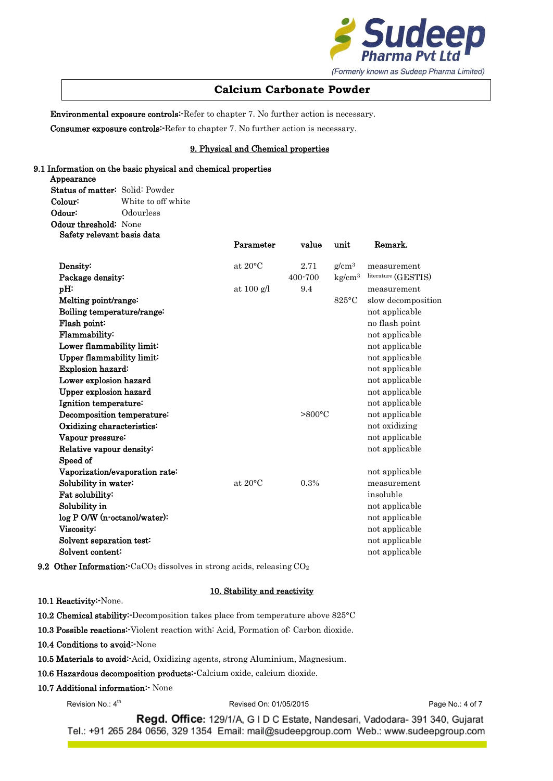

Environmental exposure controls:-Refer to chapter 7. No further action is necessary.

Consumer exposure controls:-Refer to chapter 7. No further action is necessary.

# 9. Physical and Chemical properties

#### 9.1 Information on the basic physical and chemical properties

Appearance Status of matter: Solid: Powder Colour: White to off white Odour: Odourless Odour threshold: None Safety relevant basis data

|                                | Parameter         | value             | unit               | Remark.             |
|--------------------------------|-------------------|-------------------|--------------------|---------------------|
| Density:                       | at $20^{\circ}$ C | 2.71              | $g/cm^3$           | measurement         |
| Package density:               |                   | 400-700           | kg/cm <sup>3</sup> | literature (GESTIS) |
| pH:                            | at $100$ g/l      | 9.4               |                    | measurement         |
| Melting point/range:           |                   |                   | $825^{\circ}$ C    | slow decomposition  |
| Boiling temperature/range:     |                   |                   |                    | not applicable      |
| Flash point:                   |                   |                   |                    | no flash point      |
| Flammability:                  |                   |                   |                    | not applicable      |
| Lower flammability limit:      |                   |                   |                    | not applicable      |
| Upper flammability limit:      |                   |                   |                    | not applicable      |
| Explosion hazard:              |                   |                   |                    | not applicable      |
| Lower explosion hazard         |                   |                   |                    | not applicable      |
| Upper explosion hazard         |                   |                   |                    | not applicable      |
| Ignition temperature:          |                   |                   |                    | not applicable      |
| Decomposition temperature:     |                   | $> 800^{\circ}$ C |                    | not applicable      |
| Oxidizing characteristics:     |                   |                   |                    | not oxidizing       |
| Vapour pressure:               |                   |                   |                    | not applicable      |
| Relative vapour density:       |                   |                   |                    | not applicable      |
| Speed of                       |                   |                   |                    |                     |
| Vaporization/evaporation rate: |                   |                   |                    | not applicable      |
| Solubility in water:           | at $20^{\circ}$ C | 0.3%              |                    | measurement         |
| Fat solubility:                |                   |                   |                    | insoluble           |
| Solubility in                  |                   |                   |                    | not applicable      |
| log P O/W (n-octanol/water):   |                   |                   |                    | not applicable      |
| Viscosity:                     |                   |                   |                    | not applicable      |
| Solvent separation test:       |                   |                   |                    | not applicable      |
| Solvent content:               |                   |                   |                    | not applicable      |

**9.2 Other Information:**  $CaCO<sub>3</sub>$  dissolves in strong acids, releasing  $CO<sub>2</sub>$ 

#### 10. Stability and reactivity

10.1 Reactivity: None.

- 10.2 Chemical stability:-Decomposition takes place from temperature above 825°C
- 10.3 Possible reactions:-Violent reaction with: Acid, Formation of: Carbon dioxide.
- 10.4 Conditions to avoid:-None
- 10.5 Materials to avoid:-Acid, Oxidizing agents, strong Aluminium, Magnesium.
- 10.6 Hazardous decomposition products: Calcium oxide, calcium dioxide.

# 10.7 Additional information:- None

Revision No.: 4

Revised On: 01/05/2015 **Page No.: 4 of 7**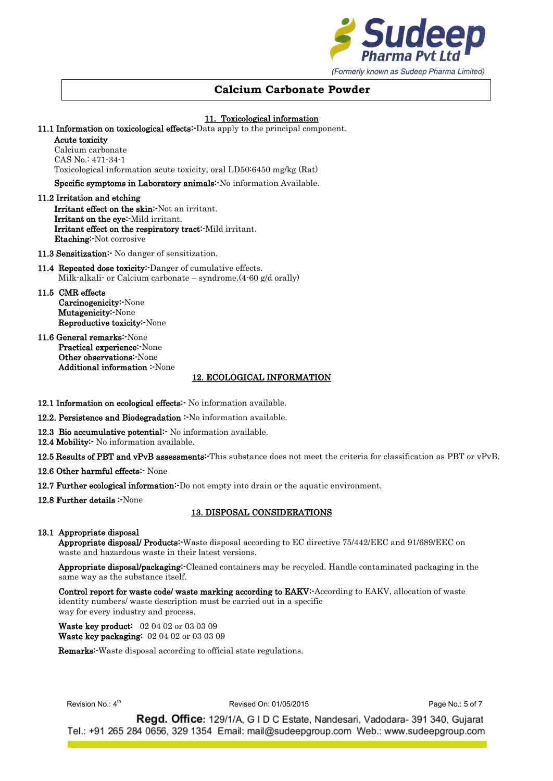

### 11. Toxicological information

11.1 Information on toxicological effects: Data apply to the principal component.

Acute toxicity

Calcium carbonate CAS No.: 471-34-1 Toxicological information acute toxicity, oral LD50:6450 mg/kg (Rat)

Specific symptoms in Laboratory animals:-No information Available.

11.2 Irritation and etching Irritant effect on the skin:-Not an irritant. Irritant on the eye: Mild irritant. Irritant effect on the respiratory tract:-Mild irritant. Etaching:-Not corrosive

11.3 Sensitization: No danger of sensitization.

- 11.4 Repeated dose toxicity: Danger of cumulative effects. Milk-alkali- or Calcium carbonate – syndrome.(4-60 g/d orally)
- 11.5 CMR effects Carcinogenicity:-None Mutagenicity:-None Reproductive toxicity:-None
- 11.6 General remarks:-None Practical experience:-None Other observations:-None Additional information :-None

# 12. ECOLOGICAL INFORMATION

12.1 Information on ecological effects<sup>:</sup> No information available.

12.2. Persistence and Biodegradation : No information available.

12.3 Bio accumulative potential: No information available.

12.4 Mobility: No information available.

12.5 Results of PBT and vPvB assessments: This substance does not meet the criteria for classification as PBT or vPvB.

12.6 Other harmful effects: None

12.7 Further ecological information: Do not empty into drain or the aquatic environment.

12.8 Further details : None

# 13. DISPOSAL CONSIDERATIONS

#### 13.1 Appropriate disposal

Appropriate disposal/ Products:-Waste disposal according to EC directive 75/442/EEC and 91/689/EEC on waste and hazardous waste in their latest versions.

Appropriate disposal/packaging:-Cleaned containers may be recycled. Handle contaminated packaging in the same way as the substance itself.

Control report for waste code/ waste marking according to EAKV:-According to EAKV, allocation of waste identity numbers/ waste description must be carried out in a specific way for every industry and process.

Waste key product: 02 04 02 or 03 03 09 Waste key packaging: 02 04 02 or 03 03 09

Remarks:-Waste disposal according to official state regulations.

Revision  $No: 4<sup>th</sup>$ 

Revised On: 01/05/2015 **Page No.: 5 of 7**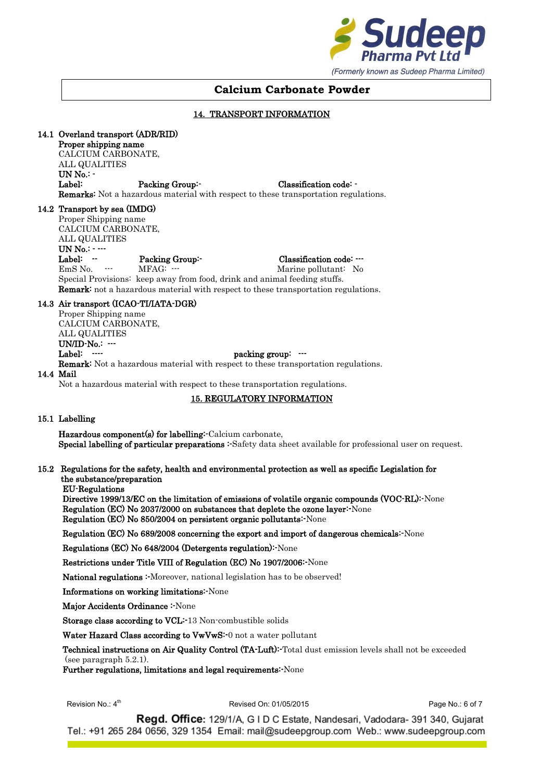

### 14. TRANSPORT INFORMATION

### 14.1 Overland transport (ADR/RID)

Proper shipping name CALCIUM CARBONATE, ALL QUALITIES UN No.: - Label: Packing Group:- Classification code: - Remarks: Not a hazardous material with respect to these transportation regulations.

#### 14.2 Transport by sea (IMDG)

Proper Shipping name CALCIUM CARBONATE, ALL QUALITIES UN No.: - ---

Label: -- Packing Group:- Classification code: ---<br>EmS No. --- MFAG: --- MEAG: --- Marine pollutant: No MFAG: --- Marine pollutant: No. Special Provisions: keep away from food, drink and animal feeding stuffs. Remark: not a hazardous material with respect to these transportation regulations.

### 14.3 Air transport (ICAO-TI/IATA-DGR)

Proper Shipping name CALCIUM CARBONATE, ALL QUALITIES UN/ID-No.: ---Label:  $\cdots$  packing group:  $\cdots$ Remark: Not a hazardous material with respect to these transportation regulations.

#### 14.4 Mail

Not a hazardous material with respect to these transportation regulations.

# 15. REGULATORY INFORMATION

#### 15.1 Labelling

Hazardous component(s) for labelling:-Calcium carbonate, Special labelling of particular preparations :-Safety data sheet available for professional user on request.

#### 15.2 Regulations for the safety, health and environmental protection as well as specific Legislation for the substance/preparation

EU-Regulations

Directive 1999/13/EC on the limitation of emissions of volatile organic compounds (VOC-RL):-None Regulation (EC) No 2037/2000 on substances that deplete the ozone layer:-None Regulation (EC) No 850/2004 on persistent organic pollutants:-None

#### Regulation (EC) No 689/2008 concerning the export and import of dangerous chemicals:-None

Regulations (EC) No 648/2004 (Detergents regulation):-None

### Restrictions under Title VIII of Regulation (EC) No 1907/2006:-None

National regulations :- Moreover, national legislation has to be observed!

Informations on working limitations:-None

Major Accidents Ordinance :-None

Storage class according to VCL:-13 Non-combustible solids

Water Hazard Class according to VwVwS:-0 not a water pollutant

Technical instructions on Air Quality Control (TA-Luft): Total dust emission levels shall not be exceeded (see paragraph 5.2.1).

Further regulations, limitations and legal requirements:-None

Revision  $No: 4<sup>th</sup>$ 

Revised On: 01/05/2015 **Page No.: 6 of 7**